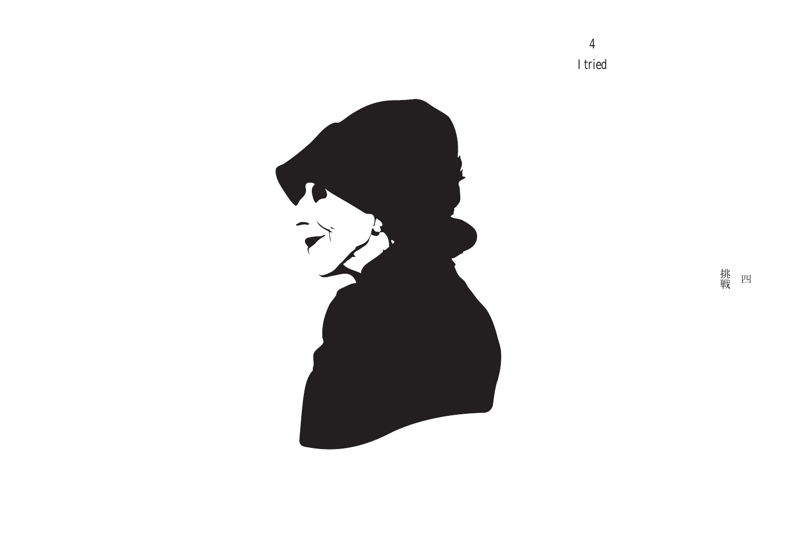$\overline{\mathbf{4}}$ I tried



挑<br>戦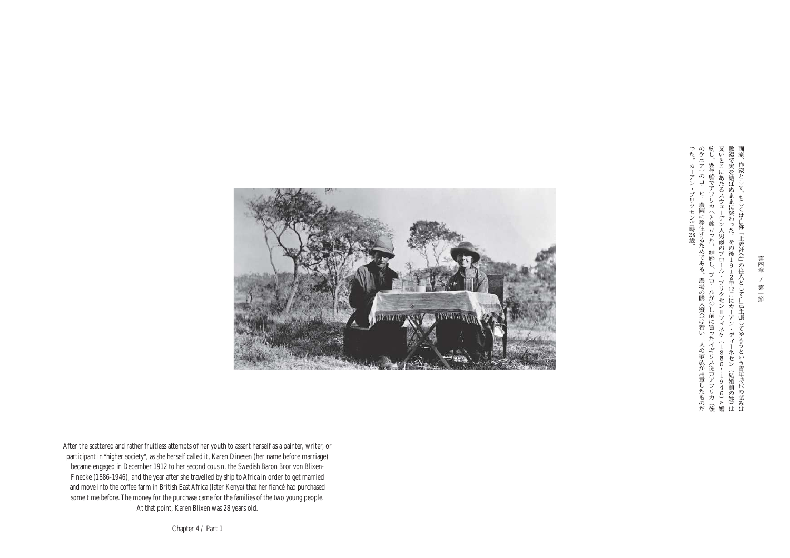のケニア)のコーヒー農園に移住するためである。約し、翌年船でアフリカへと旅立った。結婚し、ブ又いとこにあたるスウェーデン人男爵のブロール散漫で実を結ばぬままに終わった。その後191 画家 った。カーアン・ブリクセン当時28歳。 作家として、 ヒー農園に移住するためである。 ŧ しくは自称 !するためである。農場の購入資金は若い二人の家族が用意したものだヱった。結婚し、プロールが少し前に買ったイギリス領東アフリカ(後八男爵のプロール・プリクセン=フィネケ(1886~1946)と婚に。その後1912年12月にカーアン・ディーネセン(結婚前の姓)は「上流社会」の住人として白己主張してやろうという青年時代の試みは



After the scattered and rather fruitless attempts of her youth to assert herself as a painter, writer, or participant in "higher society", as she herself called it, Karen Dinesen (her name before marriage) became engaged in December 1912 to her second cousin, the Swedish Baron Bror von Blixen-Finecke (1886-1946), and the year after she travelled by ship to Africa in order to get married and move into the coffee farm in British East Africa (later Kenya) that her fiancé had purchased some time before.The money for the purchase came for the families of the two young people. At that point, Karen Blixen was 28 years old.

Chapter 4 / Part 1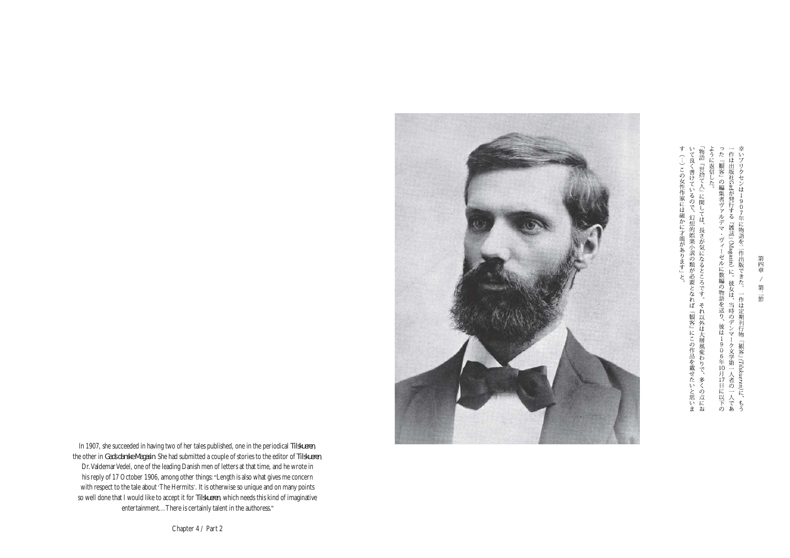た『観客』の編集者ヴァルデマ・ヴィーゼルに数編の物語を送り、彼は、作は出版社Gadが発行する『雑誌』(Magasin) に。彼女は、当時のデンマ いブリクセンは1 907年に物語を二作出版できた。 一作は定期刊 物  $\frac{1}{9}$ 『観客』(Tilskueren)に、もう 906年10月17日に以下のク文学第一人者の一人であ

す(…)この女性作家には確かに才能があります」と。 いて良く書けているので、幻想的娯楽小説の類が必要となれば『観客』にこの作品を載せたいと思いま「物語『世捨て人』に関しては、長さが気になるところです。それ以外は大層風変わりで、多くの点にお ように返信した



In 1907, she succeeded in having two of her tales published, one in the periodical *Tilskueren*, the other in *Gads danske Magasin*. She had submitted a couple of stories to the editor of *Tilskueren*, Dr. Valdemar Vedel, one of the leading Danish men of letters at that time, and he wrote in his reply of 17 October 1906, among other things: "Length is also what gives me concern with respect to the tale about 'The Hermits'. It is otherwise so unique and on many points so well done that I would like to accept it for *Tilskueren*, which needs this kind of imaginative entertainment...There is certainly talent in the authoress."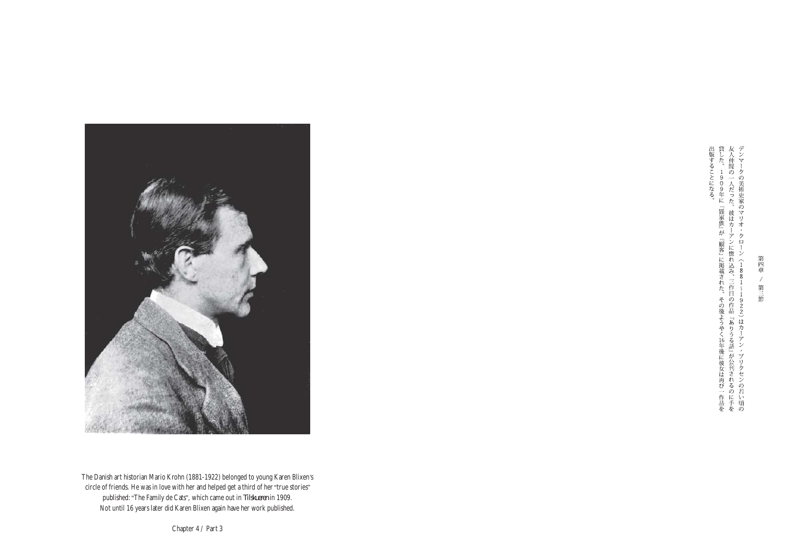

The Danish art historian Mario Krohn (1881-1922) belonged to young Karen Blixen's circle of friends. He was in love with her and helped get a third of her "true stories" published:"The Family de Cats", which came out in *Tilskueren* in 1909. Not until 16 years later did Karen Blixen again have her work published.

出版することになる。<br>貸した。1909年に『猫家族』が『観客』に掲載された。その後ようやく16年後に彼女は再び一作品を友人仲間の一人だった。彼はカーアンに惚れ込み、三作目の作品『ありうる話』が公刊されるのに手をデンマークの美術史家のマリオ・クローン(1881~1922)はカーアン・ブリクセンの若い頃の

Chapter 4 / Part 3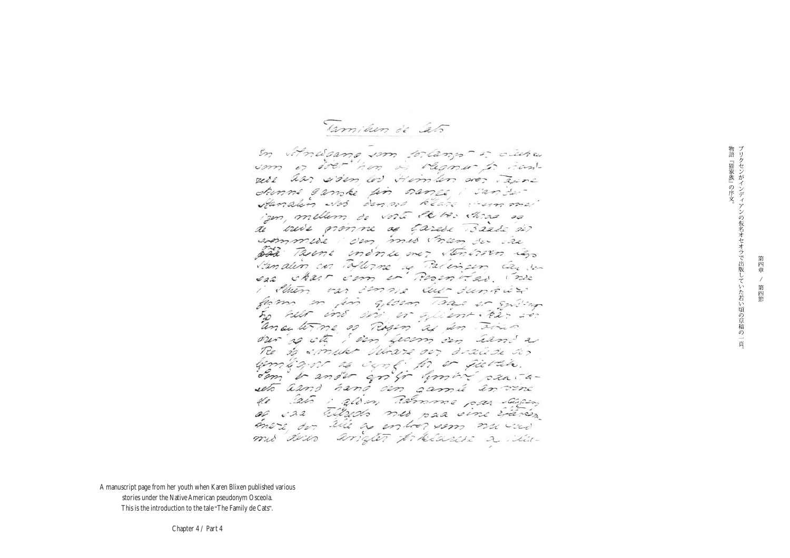Tamilun de Cato

En vitnatamo som tolango or ocute som or doer her as ragmer to hanrice aar siden los Himlen arez Taine drimme cambe un names i cando-Handlin Not denove klare venme iem, mellem de voit le vos chras so de vuis pronne as tarese Baase des evenmuse i den mis man der ise pad Taxone endorse over stinirson igo Vanalin on Tallorne a Palinson la son sea chair com en Rosenvas inse i Shen var imme aur dungur from in fin gloen Taas is sulling he har ins dir, or gaient. be- so. ance tome as Risen as in Time our so ste i sen from sen hand a Re is smake belowns our drawing as lemban as cont to or fields. dom i ander andr himmer caniaseto aand hand den gamie en vinc de 25 : além Ramme par agos as in tillado mes paa vine Etarios more der alle as entres som naved mis deur angler présence a sui-

A manuscript page from her youth when Karen Blixen published various stories under the Native American pseudonym Osceola. This is the introduction to the tale "The Family de Cats".